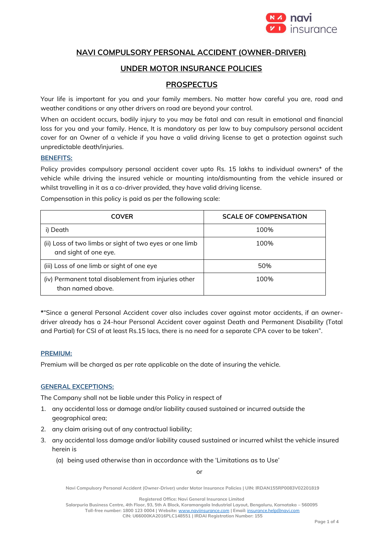

# **NAVI COMPULSORY PERSONAL ACCIDENT (OWNER-DRIVER)**

## **UNDER MOTOR INSURANCE POLICIES**

# **PROSPECTUS**

Your life is important for you and your family members. No matter how careful you are, road and weather conditions or any other drivers on road are beyond your control.

When an accident occurs, bodily injury to you may be fatal and can result in emotional and financial loss for you and your family. Hence, It is mandatory as per law to buy compulsory personal accident cover for an Owner of a vehicle if you have a valid driving license to get a protection against such unpredictable death/injuries.

#### **BENEFITS:**

Policy provides compulsory personal accident cover upto Rs. 15 lakhs to individual owners\* of the vehicle while driving the insured vehicle or mounting into/dismounting from the vehicle insured or whilst travelling in it as a co-driver provided, they have valid driving license.

Compensation in this policy is paid as per the following scale:

| <b>COVER</b>                                                                     | <b>SCALE OF COMPENSATION</b> |
|----------------------------------------------------------------------------------|------------------------------|
| i) Death                                                                         | 100%                         |
| (ii) Loss of two limbs or sight of two eyes or one limb<br>and sight of one eye. | 100%                         |
| (iii) Loss of one limb or sight of one eye                                       | 50%                          |
| (iv) Permanent total disablement from injuries other<br>than named above.        | 100%                         |

**\***"Since a general Personal Accident cover also includes cover against motor accidents, if an ownerdriver already has a 24-hour Personal Accident cover against Death and Permanent Disability (Total and Partial) for CSI of at least Rs.15 lacs, there is no need for a separate CPA cover to be taken".

#### **PREMIUM:**

Premium will be charged as per rate applicable on the date of insuring the vehicle.

#### **GENERAL EXCEPTIONS:**

The Company shall not be liable under this Policy in respect of

- 1. any accidental loss or damage and/or liability caused sustained or incurred outside the geographical area;
- 2. any claim arising out of any contractual liability;
- 3. any accidental loss damage and/or liability caused sustained or incurred whilst the vehicle insured herein is
	- (a) being used otherwise than in accordance with the 'Limitations as to Use'

or

**Navi Compulsory Personal Accident (Owner-Driver) under Motor Insurance Policies | UIN: IRDAN155RP0083V02201819**

**Registered Office: Navi General Insurance Limited**

**Salarpuria Business Centre, 4th Floor, 93, 5th A Block, Koramangala Industrial Layout, Bengaluru, Karnataka – 560095 Toll-free number: 1800 123 0004 | Website:** [www.naviinsurance.com](http://www.naviinsurance.com/) **| Email:** [insurance.help@navi.com](mailto:insurance.help@navi.com) **CIN: U66000KA2016PLC148551 | IRDAI Registration Number: 155**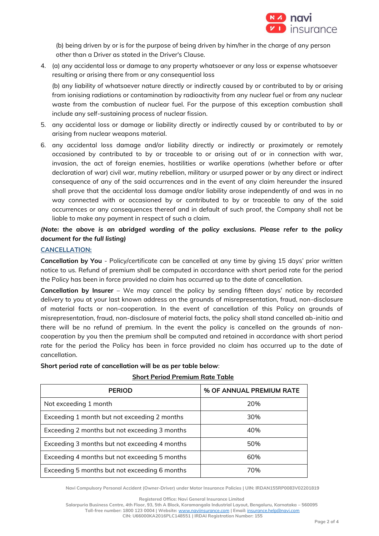

(b) being driven by or is for the purpose of being driven by him/her in the charge of any person other than a Driver as stated in the Driver's Clause.

4. (a) any accidental loss or damage to any property whatsoever or any loss or expense whatsoever resulting or arising there from or any consequential loss

(b) any liability of whatsoever nature directly or indirectly caused by or contributed to by or arising from ionising radiations or contamination by radioactivity from any nuclear fuel or from any nuclear waste from the combustion of nuclear fuel. For the purpose of this exception combustion shall include any self-sustaining process of nuclear fission.

- 5. any accidental loss or damage or liability directly or indirectly caused by or contributed to by or arising from nuclear weapons material.
- 6. any accidental loss damage and/or liability directly or indirectly or proximately or remotely occasioned by contributed to by or traceable to or arising out of or in connection with war, invasion, the act of foreign enemies, hostilities or warlike operations (whether before or after declaration of war) civil war, mutiny rebellion, military or usurped power or by any direct or indirect consequence of any of the said occurrences and in the event of any claim hereunder the insured shall prove that the accidental loss damage and/or liability arose independently of and was in no way connected with or occasioned by or contributed to by or traceable to any of the said occurrences or any consequences thereof and in default of such proof, the Company shall not be liable to make any payment in respect of such a claim.

## *(Note: the above is an abridged wording of the policy exclusions. Please refer to the policy document for the full listing)*

#### **CANCELLATION:**

**Cancellation by You** - Policy/certificate can be cancelled at any time by giving 15 days' prior written notice to us. Refund of premium shall be computed in accordance with short period rate for the period the Policy has been in force provided no claim has occurred up to the date of cancellation.

**Cancellation by Insurer** – We may cancel the policy by sending fifteen days' notice by recorded delivery to you at your last known address on the grounds of misrepresentation, fraud, non-disclosure of material facts or non-cooperation. In the event of cancellation of this Policy on grounds of misrepresentation, fraud, non-disclosure of material facts, the policy shall stand cancelled ab-initio and there will be no refund of premium. In the event the policy is cancelled on the grounds of noncooperation by you then the premium shall be computed and retained in accordance with short period rate for the period the Policy has been in force provided no claim has occurred up to the date of cancellation.

| <b>PERIOD</b>                                 | % OF ANNUAL PREMIUM RATE |
|-----------------------------------------------|--------------------------|
| Not exceeding 1 month                         | 20%                      |
| Exceeding 1 month but not exceeding 2 months  | 30%                      |
| Exceeding 2 months but not exceeding 3 months | 40%                      |
| Exceeding 3 months but not exceeding 4 months | 50%                      |
| Exceeding 4 months but not exceeding 5 months | 60%                      |
| Exceeding 5 months but not exceeding 6 months | 70%                      |

#### **Short period rate of cancellation will be as per table below**:

**Short Period Premium Rate Table**

**Navi Compulsory Personal Accident (Owner-Driver) under Motor Insurance Policies | UIN: IRDAN155RP0083V02201819**

**Registered Office: Navi General Insurance Limited**

**Salarpuria Business Centre, 4th Floor, 93, 5th A Block, Koramangala Industrial Layout, Bengaluru, Karnataka – 560095 Toll-free number: 1800 123 0004 | Website:** [www.naviinsurance.com](http://www.naviinsurance.com/) **| Email:** [insurance.help@navi.com](mailto:insurance.help@navi.com) **CIN: U66000KA2016PLC148551 | IRDAI Registration Number: 155**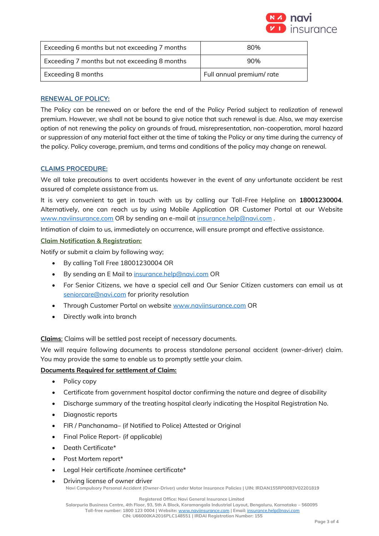

| Exceeding 6 months but not exceeding 7 months | 80%                       |
|-----------------------------------------------|---------------------------|
| Exceeding 7 months but not exceeding 8 months | 90%                       |
| Exceeding 8 months                            | Full annual premium/ rate |

#### **RENEWAL OF POLICY:**

The Policy can be renewed on or before the end of the Policy Period subject to realization of renewal premium. However, we shall not be bound to give notice that such renewal is due. Also, we may exercise option of not renewing the policy on grounds of fraud, misrepresentation, non-cooperation, moral hazard or suppression of any material fact either at the time of taking the Policy or any time during the currency of the policy. Policy coverage, premium, and terms and conditions of the policy may change on renewal.

### **CLAIMS PROCEDURE:**

We all take precautions to avert accidents however in the event of any unfortunate accident be rest assured of complete assistance from us.

It is very convenient to get in touch with us by calling our Toll-Free Helpline on **18001230004**. Alternatively, one can reach us by using Mobile Application OR Customer Portal at our Website [www.naviinsurance.com](http://www.naviinsurance.com/) OR by sending an e-mail at [insurance.help@navi.com](mailto:insurance.help@navi.com).

Intimation of claim to us, immediately on occurrence, will ensure prompt and effective assistance.

#### **Claim Notification & Registration:**

Notify or submit a claim by following way;

- By calling Toll Free 18001230004 OR
- By sending an E Mail to [insurance.help@navi.com](mailto:insurance.help@navi.com) OR
- For Senior Citizens, we have a special cell and Our Senior Citizen customers can email us at [seniorcare@navi.com](mailto:seniorcare@navi.com) for priority resolution
- Through Customer Portal on website [www.naviinsurance.com](http://www.naviinsurance.com/) OR
- Directly walk into branch

**Claims**: Claims will be settled post receipt of necessary documents.

We will require following documents to process standalone personal accident (owner-driver) claim. You may provide the same to enable us to promptly settle your claim.

### **Documents Required for settlement of Claim:**

- Policy copy
- Certificate from government hospital doctor confirming the nature and degree of disability
- Discharge summary of the treating hospital clearly indicating the Hospital Registration No.
- Diagnostic reports
- FIR / Panchanama– (if Notified to Police) Attested or Original
- Final Police Report- (if applicable)
- Death Certificate\*
- Post Mortem report\*
- Legal Heir certificate /nominee certificate\*
- Driving license of owner driver

**Navi Compulsory Personal Accident (Owner-Driver) under Motor Insurance Policies | UIN: IRDAN155RP0083V02201819**

**Registered Office: Navi General Insurance Limited**

**Salarpuria Business Centre, 4th Floor, 93, 5th A Block, Koramangala Industrial Layout, Bengaluru, Karnataka – 560095 Toll-free number: 1800 123 0004 | Website:** [www.naviinsurance.com](http://www.naviinsurance.com/) **| Email:** [insurance.help@navi.com](mailto:insurance.help@navi.com)

**CIN: U66000KA2016PLC148551 | IRDAI Registration Number: 155**